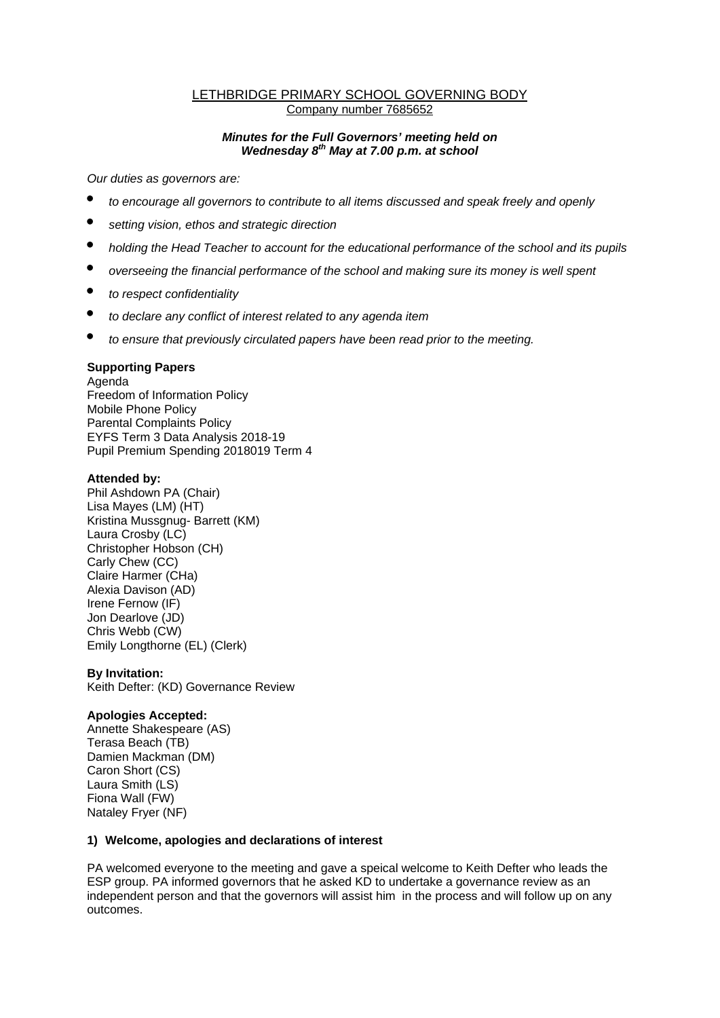## LETHBRIDGE PRIMARY SCHOOL GOVERNING BODY Company number 7685652

## *Minutes for the Full Governors' meeting held on Wednesday 8th May at 7.00 p.m. at school*

*Our duties as governors are:* 

- *to encourage all governors to contribute to all items discussed and speak freely and openly*
- *setting vision, ethos and strategic direction*
- *holding the Head Teacher to account for the educational performance of the school and its pupils*
- *overseeing the financial performance of the school and making sure its money is well spent*
- *to respect confidentiality*
- *to declare any conflict of interest related to any agenda item*
- *to ensure that previously circulated papers have been read prior to the meeting.*

# **Supporting Papers**

Agenda Freedom of Information Policy Mobile Phone Policy Parental Complaints Policy EYFS Term 3 Data Analysis 2018-19 Pupil Premium Spending 2018019 Term 4

## **Attended by:**

Phil Ashdown PA (Chair) Lisa Mayes (LM) (HT) Kristina Mussgnug- Barrett (KM) Laura Crosby (LC) Christopher Hobson (CH) Carly Chew (CC) Claire Harmer (CHa) Alexia Davison (AD) Irene Fernow (IF) Jon Dearlove (JD) Chris Webb (CW) Emily Longthorne (EL) (Clerk)

### **By Invitation:**

Keith Defter: (KD) Governance Review

### **Apologies Accepted:**

Annette Shakespeare (AS) Terasa Beach (TB) Damien Mackman (DM) Caron Short (CS) Laura Smith (LS) Fiona Wall (FW) Nataley Fryer (NF)

# **1) Welcome, apologies and declarations of interest**

PA welcomed everyone to the meeting and gave a speical welcome to Keith Defter who leads the ESP group. PA informed governors that he asked KD to undertake a governance review as an independent person and that the governors will assist him in the process and will follow up on any outcomes.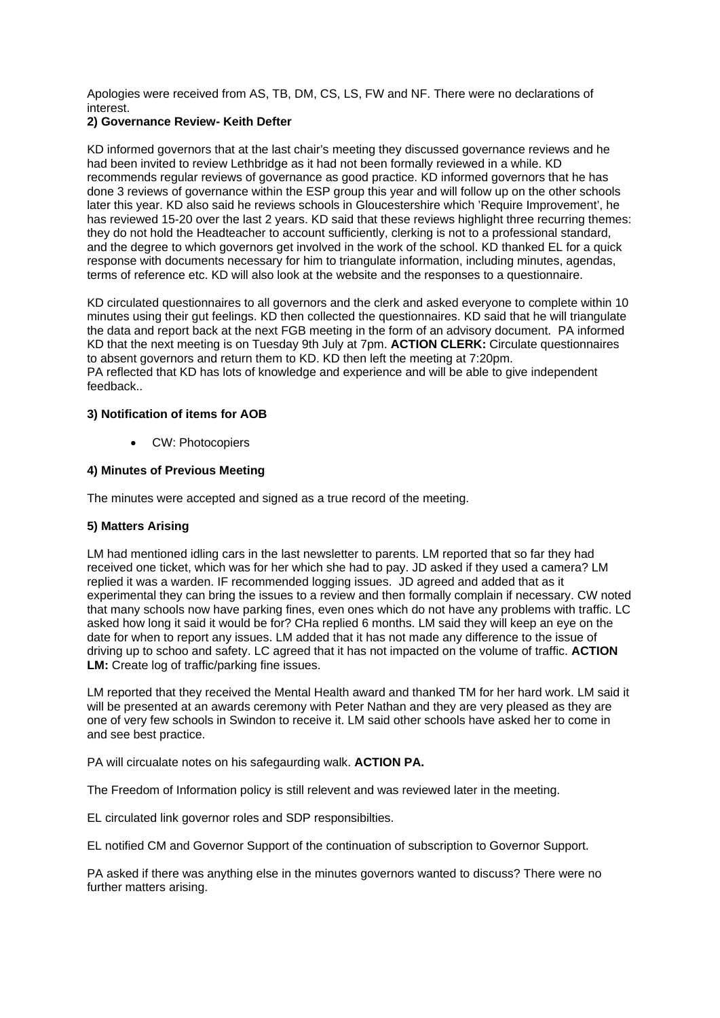Apologies were received from AS, TB, DM, CS, LS, FW and NF. There were no declarations of interest.

# **2) Governance Review- Keith Defter**

KD informed governors that at the last chair's meeting they discussed governance reviews and he had been invited to review Lethbridge as it had not been formally reviewed in a while. KD recommends regular reviews of governance as good practice. KD informed governors that he has done 3 reviews of governance within the ESP group this year and will follow up on the other schools later this year. KD also said he reviews schools in Gloucestershire which 'Require Improvement', he has reviewed 15-20 over the last 2 years. KD said that these reviews highlight three recurring themes: they do not hold the Headteacher to account sufficiently, clerking is not to a professional standard, and the degree to which governors get involved in the work of the school. KD thanked EL for a quick response with documents necessary for him to triangulate information, including minutes, agendas, terms of reference etc. KD will also look at the website and the responses to a questionnaire.

KD circulated questionnaires to all governors and the clerk and asked everyone to complete within 10 minutes using their gut feelings. KD then collected the questionnaires. KD said that he will triangulate the data and report back at the next FGB meeting in the form of an advisory document. PA informed KD that the next meeting is on Tuesday 9th July at 7pm. **ACTION CLERK:** Circulate questionnaires to absent governors and return them to KD. KD then left the meeting at 7:20pm. PA reflected that KD has lots of knowledge and experience and will be able to give independent feedback..

## **3) Notification of items for AOB**

CW: Photocopiers

## **4) Minutes of Previous Meeting**

The minutes were accepted and signed as a true record of the meeting.

### **5) Matters Arising**

LM had mentioned idling cars in the last newsletter to parents. LM reported that so far they had received one ticket, which was for her which she had to pay. JD asked if they used a camera? LM replied it was a warden. IF recommended logging issues. JD agreed and added that as it experimental they can bring the issues to a review and then formally complain if necessary. CW noted that many schools now have parking fines, even ones which do not have any problems with traffic. LC asked how long it said it would be for? CHa replied 6 months. LM said they will keep an eye on the date for when to report any issues. LM added that it has not made any difference to the issue of driving up to schoo and safety. LC agreed that it has not impacted on the volume of traffic. **ACTION LM:** Create log of traffic/parking fine issues.

LM reported that they received the Mental Health award and thanked TM for her hard work. LM said it will be presented at an awards ceremony with Peter Nathan and they are very pleased as they are one of very few schools in Swindon to receive it. LM said other schools have asked her to come in and see best practice.

PA will circualate notes on his safegaurding walk. **ACTION PA.**

The Freedom of Information policy is still relevent and was reviewed later in the meeting.

EL circulated link governor roles and SDP responsibilties.

EL notified CM and Governor Support of the continuation of subscription to Governor Support.

PA asked if there was anything else in the minutes governors wanted to discuss? There were no further matters arising.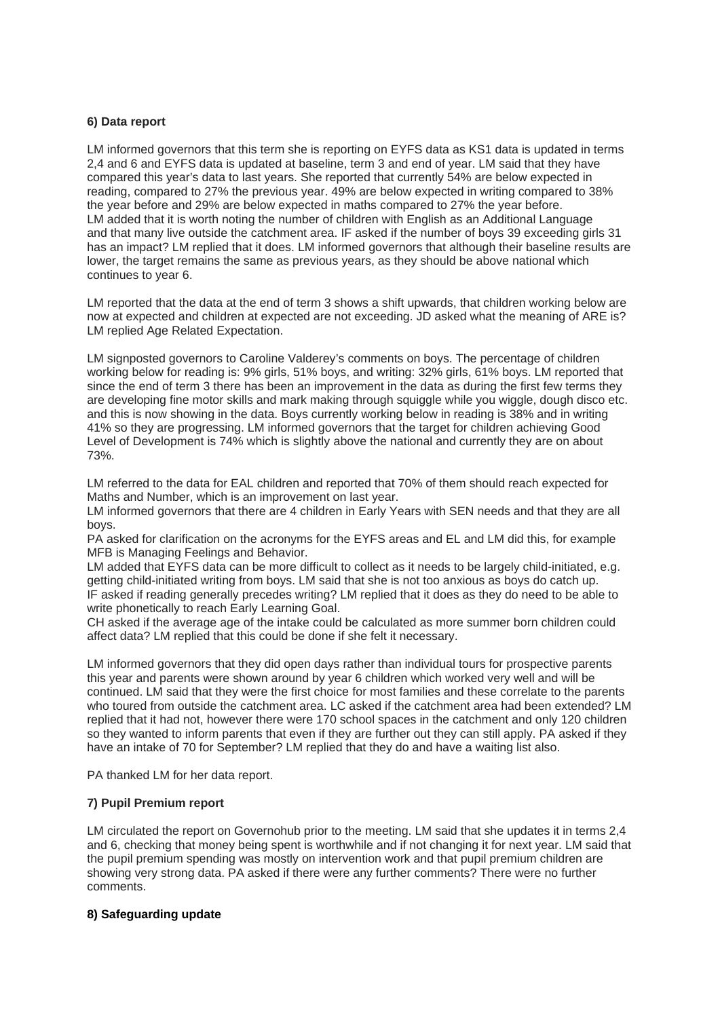## **6) Data report**

LM informed governors that this term she is reporting on EYFS data as KS1 data is updated in terms 2,4 and 6 and EYFS data is updated at baseline, term 3 and end of year. LM said that they have compared this year's data to last years. She reported that currently 54% are below expected in reading, compared to 27% the previous year. 49% are below expected in writing compared to 38% the year before and 29% are below expected in maths compared to 27% the year before. LM added that it is worth noting the number of children with English as an Additional Language and that many live outside the catchment area. IF asked if the number of boys 39 exceeding girls 31 has an impact? LM replied that it does. LM informed governors that although their baseline results are lower, the target remains the same as previous years, as they should be above national which continues to year 6.

LM reported that the data at the end of term 3 shows a shift upwards, that children working below are now at expected and children at expected are not exceeding. JD asked what the meaning of ARE is? LM replied Age Related Expectation.

LM signposted governors to Caroline Valderey's comments on boys. The percentage of children working below for reading is: 9% girls, 51% boys, and writing: 32% girls, 61% boys. LM reported that since the end of term 3 there has been an improvement in the data as during the first few terms they are developing fine motor skills and mark making through squiggle while you wiggle, dough disco etc. and this is now showing in the data. Boys currently working below in reading is 38% and in writing 41% so they are progressing. LM informed governors that the target for children achieving Good Level of Development is 74% which is slightly above the national and currently they are on about 73%.

LM referred to the data for EAL children and reported that 70% of them should reach expected for Maths and Number, which is an improvement on last year.

LM informed governors that there are 4 children in Early Years with SEN needs and that they are all boys.

PA asked for clarification on the acronyms for the EYFS areas and EL and LM did this, for example MFB is Managing Feelings and Behavior.

LM added that EYFS data can be more difficult to collect as it needs to be largely child-initiated, e.g. getting child-initiated writing from boys. LM said that she is not too anxious as boys do catch up. IF asked if reading generally precedes writing? LM replied that it does as they do need to be able to write phonetically to reach Early Learning Goal.

CH asked if the average age of the intake could be calculated as more summer born children could affect data? LM replied that this could be done if she felt it necessary.

LM informed governors that they did open days rather than individual tours for prospective parents this year and parents were shown around by year 6 children which worked very well and will be continued. LM said that they were the first choice for most families and these correlate to the parents who toured from outside the catchment area. LC asked if the catchment area had been extended? LM replied that it had not, however there were 170 school spaces in the catchment and only 120 children so they wanted to inform parents that even if they are further out they can still apply. PA asked if they have an intake of 70 for September? LM replied that they do and have a waiting list also.

PA thanked LM for her data report.

### **7) Pupil Premium report**

LM circulated the report on Governohub prior to the meeting. LM said that she updates it in terms 2,4 and 6, checking that money being spent is worthwhile and if not changing it for next year. LM said that the pupil premium spending was mostly on intervention work and that pupil premium children are showing very strong data. PA asked if there were any further comments? There were no further comments.

### **8) Safeguarding update**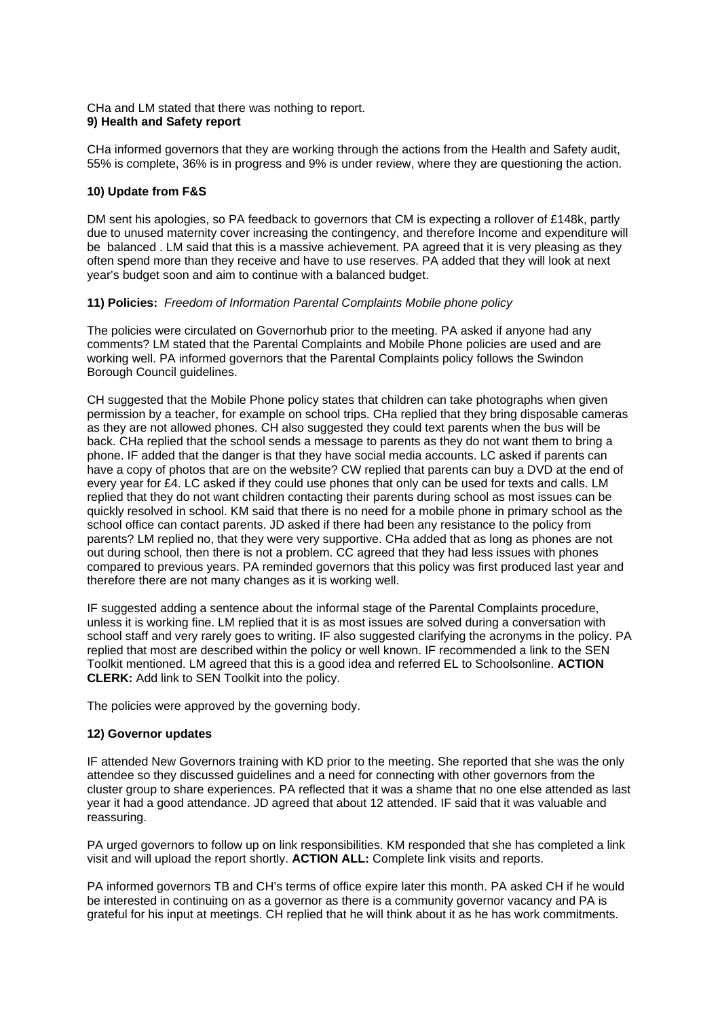### CHa and LM stated that there was nothing to report. **9) Health and Safety report**

CHa informed governors that they are working through the actions from the Health and Safety audit, 55% is complete, 36% is in progress and 9% is under review, where they are questioning the action.

# **10) Update from F&S**

DM sent his apologies, so PA feedback to governors that CM is expecting a rollover of £148k, partly due to unused maternity cover increasing the contingency, and therefore Income and expenditure will be balanced . LM said that this is a massive achievement. PA agreed that it is very pleasing as they often spend more than they receive and have to use reserves. PA added that they will look at next year's budget soon and aim to continue with a balanced budget.

## **11) Policies:** *Freedom of Information Parental Complaints Mobile phone policy*

The policies were circulated on Governorhub prior to the meeting. PA asked if anyone had any comments? LM stated that the Parental Complaints and Mobile Phone policies are used and are working well. PA informed governors that the Parental Complaints policy follows the Swindon Borough Council guidelines.

CH suggested that the Mobile Phone policy states that children can take photographs when given permission by a teacher, for example on school trips. CHa replied that they bring disposable cameras as they are not allowed phones. CH also suggested they could text parents when the bus will be back. CHa replied that the school sends a message to parents as they do not want them to bring a phone. IF added that the danger is that they have social media accounts. LC asked if parents can have a copy of photos that are on the website? CW replied that parents can buy a DVD at the end of every year for £4. LC asked if they could use phones that only can be used for texts and calls. LM replied that they do not want children contacting their parents during school as most issues can be quickly resolved in school. KM said that there is no need for a mobile phone in primary school as the school office can contact parents. JD asked if there had been any resistance to the policy from parents? LM replied no, that they were very supportive. CHa added that as long as phones are not out during school, then there is not a problem. CC agreed that they had less issues with phones compared to previous years. PA reminded governors that this policy was first produced last year and therefore there are not many changes as it is working well.

IF suggested adding a sentence about the informal stage of the Parental Complaints procedure, unless it is working fine. LM replied that it is as most issues are solved during a conversation with school staff and very rarely goes to writing. IF also suggested clarifying the acronyms in the policy. PA replied that most are described within the policy or well known. IF recommended a link to the SEN Toolkit mentioned. LM agreed that this is a good idea and referred EL to Schoolsonline. **ACTION CLERK:** Add link to SEN Toolkit into the policy.

The policies were approved by the governing body.

# **12) Governor updates**

IF attended New Governors training with KD prior to the meeting. She reported that she was the only attendee so they discussed guidelines and a need for connecting with other governors from the cluster group to share experiences. PA reflected that it was a shame that no one else attended as last year it had a good attendance. JD agreed that about 12 attended. IF said that it was valuable and reassuring.

PA urged governors to follow up on link responsibilities. KM responded that she has completed a link visit and will upload the report shortly. **ACTION ALL:** Complete link visits and reports.

PA informed governors TB and CH's terms of office expire later this month. PA asked CH if he would be interested in continuing on as a governor as there is a community governor vacancy and PA is grateful for his input at meetings. CH replied that he will think about it as he has work commitments.